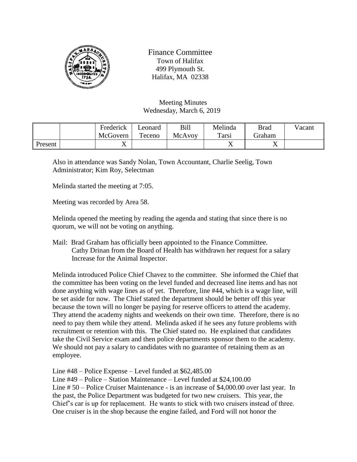

Finance Committee Town of Halifax 499 Plymouth St. Halifax, MA 02338

Meeting Minutes Wednesday, March 6, 2019

|         | Frederick | ∟eonard | Bill   | Melinda        | <b>Brad</b> | Vacant |
|---------|-----------|---------|--------|----------------|-------------|--------|
|         | McGovern  | Teceno  | McAvoy | Tarsi          | Graham      |        |
| Present |           |         |        | $\overline{ }$ | ∡⊾          |        |

Also in attendance was Sandy Nolan, Town Accountant, Charlie Seelig, Town Administrator; Kim Roy, Selectman

Melinda started the meeting at 7:05.

Meeting was recorded by Area 58.

Melinda opened the meeting by reading the agenda and stating that since there is no quorum, we will not be voting on anything.

Mail: Brad Graham has officially been appointed to the Finance Committee. Cathy Drinan from the Board of Health has withdrawn her request for a salary Increase for the Animal Inspector.

Melinda introduced Police Chief Chavez to the committee. She informed the Chief that the committee has been voting on the level funded and decreased line items and has not done anything with wage lines as of yet. Therefore, line #44, which is a wage line, will be set aside for now. The Chief stated the department should be better off this year because the town will no longer be paying for reserve officers to attend the academy. They attend the academy nights and weekends on their own time. Therefore, there is no need to pay them while they attend. Melinda asked if he sees any future problems with recruitment or retention with this. The Chief stated no. He explained that candidates take the Civil Service exam and then police departments sponsor them to the academy. We should not pay a salary to candidates with no guarantee of retaining them as an employee.

Line #48 – Police Expense – Level funded at \$62,485.00

Line #49 – Police – Station Maintenance – Level funded at \$24,100.00 Line # 50 – Police Cruiser Maintenance - is an increase of \$4,000.00 over last year. In the past, the Police Department was budgeted for two new cruisers. This year, the Chief's car is up for replacement. He wants to stick with two cruisers instead of three. One cruiser is in the shop because the engine failed, and Ford will not honor the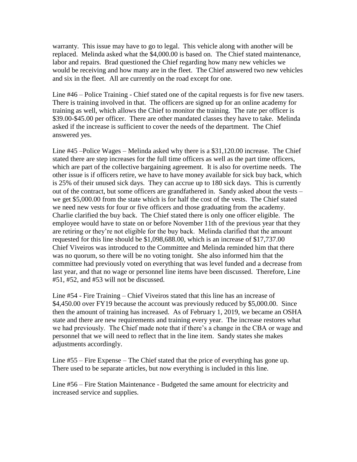warranty. This issue may have to go to legal. This vehicle along with another will be replaced. Melinda asked what the \$4,000.00 is based on. The Chief stated maintenance, labor and repairs. Brad questioned the Chief regarding how many new vehicles we would be receiving and how many are in the fleet. The Chief answered two new vehicles and six in the fleet. All are currently on the road except for one.

Line #46 – Police Training - Chief stated one of the capital requests is for five new tasers. There is training involved in that. The officers are signed up for an online academy for training as well, which allows the Chief to monitor the training. The rate per officer is \$39.00-\$45.00 per officer. There are other mandated classes they have to take. Melinda asked if the increase is sufficient to cover the needs of the department. The Chief answered yes.

Line #45 –Police Wages – Melinda asked why there is a \$31,120.00 increase. The Chief stated there are step increases for the full time officers as well as the part time officers, which are part of the collective bargaining agreement. It is also for overtime needs. The other issue is if officers retire, we have to have money available for sick buy back, which is 25% of their unused sick days. They can accrue up to 180 sick days. This is currently out of the contract, but some officers are grandfathered in. Sandy asked about the vests – we get \$5,000.00 from the state which is for half the cost of the vests. The Chief stated we need new vests for four or five officers and those graduating from the academy. Charlie clarified the buy back. The Chief stated there is only one officer eligible. The employee would have to state on or before November 11th of the previous year that they are retiring or they're not eligible for the buy back. Melinda clarified that the amount requested for this line should be \$1,098,688.00, which is an increase of \$17,737.00 Chief Viveiros was introduced to the Committee and Melinda reminded him that there was no quorum, so there will be no voting tonight. She also informed him that the committee had previously voted on everything that was level funded and a decrease from last year, and that no wage or personnel line items have been discussed. Therefore, Line #51, #52, and #53 will not be discussed.

Line #54 - Fire Training – Chief Viveiros stated that this line has an increase of \$4,450.00 over FY19 because the account was previously reduced by \$5,000.00. Since then the amount of training has increased. As of February 1, 2019, we became an OSHA state and there are new requirements and training every year. The increase restores what we had previously. The Chief made note that if there's a change in the CBA or wage and personnel that we will need to reflect that in the line item. Sandy states she makes adjustments accordingly.

Line #55 – Fire Expense – The Chief stated that the price of everything has gone up. There used to be separate articles, but now everything is included in this line.

Line #56 – Fire Station Maintenance - Budgeted the same amount for electricity and increased service and supplies.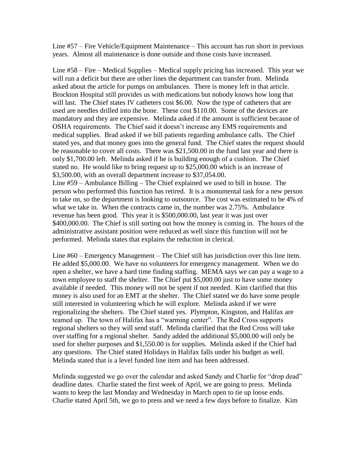Line #57 – Fire Vehicle/Equipment Maintenance – This account has run short in previous years. Almost all maintenance is done outside and those costs have increased.

Line #58 – Fire – Medical Supplies – Medical supply pricing has increased. This year we will run a deficit but there are other lines the department can transfer from. Melinda asked about the article for pumps on ambulances. There is money left in that article. Brockton Hospital still provides us with medications but nobody knows how long that will last. The Chief states IV catheters cost \$6.00. Now the type of catheters that are used are needles drilled into the bone. These cost \$110.00. Some of the devices are mandatory and they are expensive. Melinda asked if the amount is sufficient because of OSHA requirements. The Chief said it doesn't increase any EMS requirements and medical supplies. Brad asked if we bill patients regarding ambulance calls. The Chief stated yes, and that money goes into the general fund. The Chief states the request should be reasonable to cover all costs. There was \$21,500.00 in the fund last year and there is only \$1,700.00 left. Melinda asked if he is building enough of a cushion. The Chief stated no. He would like to bring request up to \$25,000.00 which is an increase of \$3,500.00, with an overall department increase to \$37,054.00. Line #59 – Ambulance Billing – The Chief explained we used to bill in house. The person who performed this function has retired. It is a monumental task for a new person to take on, so the department is looking to outsource. The cost was estimated to be 4% of what we take in. When the contracts came in, the number was 2.75%. Ambulance

revenue has been good. This year it is \$500,000.00, last year it was just over \$400,000.00. The Chief is still sorting out how the money is coming in. The hours of the administrative assistant position were reduced as well since this function will not be performed. Melinda states that explains the reduction in clerical.

Line #60 – Emergency Management – The Chief still has jurisdiction over this line item. He added \$5,000.00. We have no volunteers for emergency management. When we do open a shelter, we have a hard time finding staffing. MEMA says we can pay a wage to a town employee to staff the shelter. The Chief put \$5,000.00 just to have some money available if needed. This money will not be spent if not needed. Kim clarified that this money is also used for an EMT at the shelter. The Chief stated we do have some people still interested in volunteering which he will explore. Melinda asked if we were regionalizing the shelters. The Chief stated yes. Plympton, Kingston, and Halifax are teamed up. The town of Halifax has a "warming center". The Red Cross supports regional shelters so they will send staff. Melinda clarified that the Red Cross will take over staffing for a regional shelter. Sandy added the additional \$5,000.00 will only be used for shelter purposes and \$1,550.00 is for supplies. Melinda asked if the Chief had any questions. The Chief stated Holidays in Halifax falls under his budget as well. Melinda stated that is a level funded line item and has been addressed.

Melinda suggested we go over the calendar and asked Sandy and Charlie for "drop dead" deadline dates. Charlie stated the first week of April, we are going to press. Melinda wants to keep the last Monday and Wednesday in March open to tie up loose ends. Charlie stated April 5th, we go to press and we need a few days before to finalize. Kim